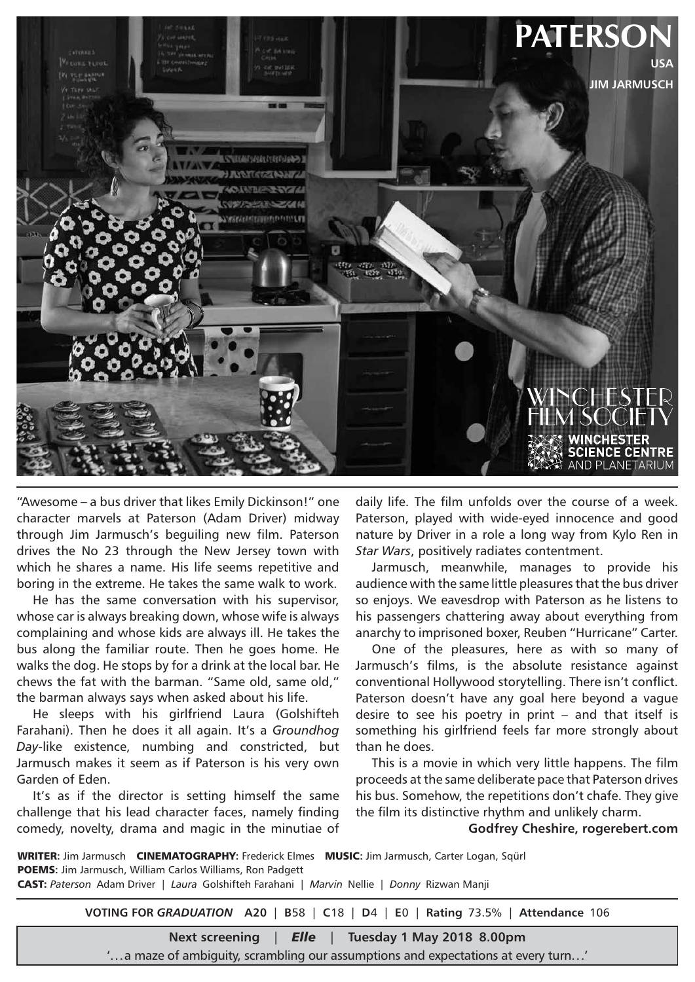

"Awesome – a bus driver that likes Emily Dickinson!" one character marvels at Paterson (Adam Driver) midway through Jim Jarmusch's beguiling new film. Paterson drives the No 23 through the New Jersey town with which he shares a name. His life seems repetitive and boring in the extreme. He takes the same walk to work.

He has the same conversation with his supervisor, whose car is always breaking down, whose wife is always complaining and whose kids are always ill. He takes the bus along the familiar route. Then he goes home. He walks the dog. He stops by for a drink at the local bar. He chews the fat with the barman. "Same old, same old," the barman always says when asked about his life.

He sleeps with his girlfriend Laura (Golshifteh Farahani). Then he does it all again. It's a *Groundhog Day*-like existence, numbing and constricted, but Jarmusch makes it seem as if Paterson is his very own Garden of Eden.

It's as if the director is setting himself the same challenge that his lead character faces, namely finding comedy, novelty, drama and magic in the minutiae of

daily life. The film unfolds over the course of a week. Paterson, played with wide-eyed innocence and good nature by Driver in a role a long way from Kylo Ren in *Star Wars*, positively radiates contentment.

Jarmusch, meanwhile, manages to provide his audience with the same little pleasures that the bus driver so enjoys. We eavesdrop with Paterson as he listens to his passengers chattering away about everything from anarchy to imprisoned boxer, Reuben "Hurricane" Carter.

One of the pleasures, here as with so many of Jarmusch's films, is the absolute resistance against conventional Hollywood storytelling. There isn't conflict. Paterson doesn't have any goal here beyond a vague desire to see his poetry in print – and that itself is something his girlfriend feels far more strongly about than he does.

This is a movie in which very little happens. The film proceeds at the same deliberate pace that Paterson drives his bus. Somehow, the repetitions don't chafe. They give the film its distinctive rhythm and unlikely charm.

**Godfrey Cheshire, rogerebert.com**

WRITER**:** Jim Jarmusch CINEMATOGRAPHY**:** Frederick Elmes MUSIC**:** Jim Jarmusch, Carter Logan, Sqürl **POEMS:** Jim Jarmusch, William Carlos Williams, Ron Padgett CAST: *Paterson* Adam Driver | *Laura* Golshifteh Farahani | *Marvin* Nellie | *Donny* Rizwan Manji

**VOTING FOR** *GRADUATION* **A20** | **B**58 | **C**18 | **D**4 | **E**0 | **Rating** 73.5% | **Attendance** 106

**Next screening** | *Elle* | **Tuesday 1 May 2018 8.00pm**

'...a maze of ambiguity, scrambling our assumptions and expectations at every turn...'